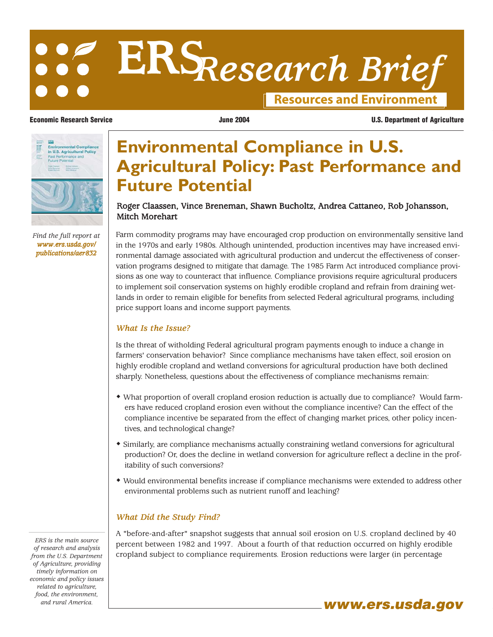# **Resources and Environment ERS***Research Brief*

**Economic Research Service June 2004 U.S. Department of Agriculture**



*Find the full report at www.ers.usda.gov/ publications/aer832*

## **Environmental Compliance in U.S. Agricultural Policy: Past Performance and Future Potential**

### Roger Claassen, Vince Breneman, Shawn Bucholtz, Andrea Cattaneo, Rob Johansson, Mitch Morehart

Farm commodity programs may have encouraged crop production on environmentally sensitive land in the 1970s and early 1980s. Although unintended, production incentives may have increased environmental damage associated with agricultural production and undercut the effectiveness of conservation programs designed to mitigate that damage. The 1985 Farm Act introduced compliance provisions as one way to counteract that influence. Compliance provisions require agricultural producers to implement soil conservation systems on highly erodible cropland and refrain from draining wetlands in order to remain eligible for benefits from selected Federal agricultural programs, including price support loans and income support payments.

#### *What Is the Issue?*

Is the threat of witholding Federal agricultural program payments enough to induce a change in farmers' conservation behavior? Since compliance mechanisms have taken effect, soil erosion on highly erodible cropland and wetland conversions for agricultural production have both declined sharply. Nonetheless, questions about the effectiveness of compliance mechanisms remain:

- What proportion of overall cropland erosion reduction is actually due to compliance? Would farmers have reduced cropland erosion even without the compliance incentive? Can the effect of the compliance incentive be separated from the effect of changing market prices, other policy incentives, and technological change?
- Similarly, are compliance mechanisms actually constraining wetland conversions for agricultural production? Or, does the decline in wetland conversion for agriculture reflect a decline in the profitability of such conversions?
- Would environmental benefits increase if compliance mechanisms were extended to address other environmental problems such as nutrient runoff and leaching?

#### *What Did the Study Find?*

A "before-and-after" snapshot suggests that annual soil erosion on U.S. cropland declined by 40 percent between 1982 and 1997. About a fourth of that reduction occurred on highly erodible cropland subject to compliance requirements. Erosion reductions were larger (in percentage

*ERS is the main source of research and analysis from the U.S. Department of Agriculture, providing timely information on economic and policy issues related to agriculture, food, the environment,* and rural America. **www.ers.usda.gov**